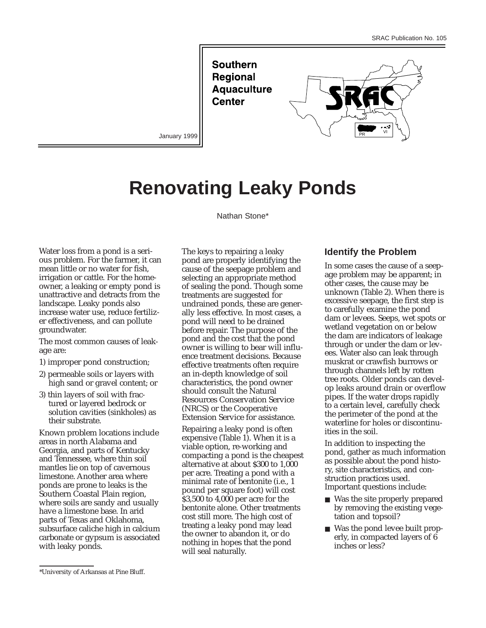**Southern Regional Aquaculture Center** 



January 1999

# **Renovating Leaky Ponds**

Nathan Stone\*

Water loss from a pond is a serious problem. For the farmer, it can mean little or no water for fish, irrigation or cattle. For the homeowner, a leaking or empty pond is unattractive and detracts from the landscape. Leaky ponds also increase water use, reduce fertilizer effectiveness, and can pollute groundwater.

The most common causes of leakage are:

- 1) improper pond construction;
- 2) permeable soils or layers with high sand or gravel content; or
- 3) thin layers of soil with fractured or layered bedrock or solution cavities (sinkholes) as their substrate.

Known problem locations include areas in north Alabama and Georgia, and parts of Kentucky and Tennessee, where thin soil mantles lie on top of cavernous limestone. Another area where ponds are prone to leaks is the Southern Coastal Plain region, where soils are sandy and usually have a limestone base. In arid parts of Texas and Oklahoma, subsurface caliche high in calcium carbonate or gypsum is associated with leaky ponds.

Repairing a leaky pond is often expensive (Table 1). When it is a viable option, re-working and compacting a pond is the cheapest alternative at about \$300 to 1,000 per acre. Treating a pond with a minimal rate of bentonite (i.e., 1 pound per square foot) will cost \$3,500 to 4,000 per acre for the bentonite alone. Other treatments cost still more. The high cost of treating a leaky pond may lead the owner to abandon it, or do nothing in hopes that the pond will seal naturally.

## **Identify the Problem**

In some cases the cause of a seepage problem may be apparent; in other cases, the cause may be unknown (Table 2). When there is excessive seepage, the first step is to carefully examine the pond dam or levees. Seeps, wet spots or wetland vegetation on or below the dam are indicators of leakage through or under the dam or levees. Water also can leak through muskrat or crawfish burrows or through channels left by rotten tree roots. Older ponds can develop leaks around drain or overflow pipes. If the water drops rapidly to a certain level, carefully check the perimeter of the pond at the waterline for holes or discontinuities in the soil.

In addition to inspecting the pond, gather as much information as possible about the pond history, site characteristics, and construction practices used. Important questions include:

- Was the site properly prepared by removing the existing vegetation and topsoil?
- Was the pond levee built properly, in compacted layers of 6 inches or less?

The keys to repairing a leaky pond are properly identifying the cause of the seepage problem and selecting an appropriate method of sealing the pond. Though some treatments are suggested for undrained ponds, these are generally less effective. In most cases, a pond will need to be drained before repair. The purpose of the pond and the cost that the pond owner is willing to bear will influence treatment decisions. Because effective treatments often require an in-depth knowledge of soil characteristics, the pond owner should consult the Natural Resources Conservation Service (NRCS) or the Cooperative Extension Service for assistance.

<sup>\*</sup>University of Arkansas at Pine Bluff.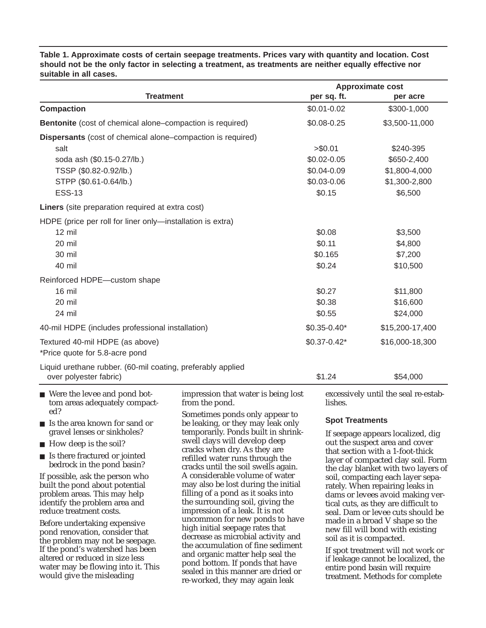**Table 1. Approximate costs of certain seepage treatments. Prices vary with quantity and location. Cost should not be the only factor in selecting a treatment, as treatments are neither equally effective nor suitable in all cases.**

|                                                                  |                                                                          |                        | <b>Approximate cost</b>                                                                                   |  |
|------------------------------------------------------------------|--------------------------------------------------------------------------|------------------------|-----------------------------------------------------------------------------------------------------------|--|
| <b>Treatment</b>                                                 |                                                                          | per sq. ft.            | per acre                                                                                                  |  |
| <b>Compaction</b>                                                |                                                                          | $$0.01 - 0.02$         | \$300-1,000                                                                                               |  |
| <b>Bentonite</b> (cost of chemical alone–compaction is required) |                                                                          | \$0.08-0.25            | \$3,500-11,000                                                                                            |  |
| Dispersants (cost of chemical alone–compaction is required)      |                                                                          |                        |                                                                                                           |  |
| salt                                                             |                                                                          | > \$0.01               | \$240-395                                                                                                 |  |
| soda ash (\$0.15-0.27/lb.)                                       |                                                                          | \$0.02-0.05            | \$650-2,400                                                                                               |  |
| TSSP (\$0.82-0.92/lb.)                                           |                                                                          | \$0.04-0.09            | \$1,800-4,000                                                                                             |  |
| STPP (\$0.61-0.64/lb.)                                           |                                                                          | \$0.03-0.06            | \$1,300-2,800                                                                                             |  |
| <b>ESS-13</b>                                                    |                                                                          | \$0.15                 | \$6,500                                                                                                   |  |
| Liners (site preparation required at extra cost)                 |                                                                          |                        |                                                                                                           |  |
| HDPE (price per roll for liner only-installation is extra)       |                                                                          |                        |                                                                                                           |  |
| $12 \text{ mil}$                                                 |                                                                          | \$0.08                 | \$3,500                                                                                                   |  |
| 20 mil                                                           |                                                                          | \$0.11                 | \$4,800                                                                                                   |  |
| 30 mil                                                           |                                                                          | \$0.165                | \$7,200                                                                                                   |  |
| 40 mil                                                           |                                                                          | \$0.24                 | \$10,500                                                                                                  |  |
| Reinforced HDPE-custom shape                                     |                                                                          |                        |                                                                                                           |  |
| 16 mil                                                           |                                                                          | \$0.27                 | \$11,800                                                                                                  |  |
| 20 mil                                                           |                                                                          | \$0.38                 | \$16,600                                                                                                  |  |
| 24 mil                                                           |                                                                          | \$0.55                 | \$24,000                                                                                                  |  |
| 40-mil HDPE (includes professional installation)                 |                                                                          | $$0.35 - 0.40*$        | \$15,200-17,400                                                                                           |  |
| Textured 40-mil HDPE (as above)                                  |                                                                          | $$0.37 - 0.42*$        | \$16,000-18,300                                                                                           |  |
| *Price quote for 5.8-acre pond                                   |                                                                          |                        |                                                                                                           |  |
| Liquid urethane rubber. (60-mil coating, preferably applied      |                                                                          |                        |                                                                                                           |  |
| over polyester fabric)                                           |                                                                          | \$1.24                 | \$54,000                                                                                                  |  |
| ■ Were the levee and pond bot-<br>tom areas adequately compact-  | impression that water is being lost<br>from the pond.                    | lishes.                | excessively until the seal re-estab-                                                                      |  |
| ed?                                                              | Sometimes ponds only appear to                                           | <b>Spot Treatments</b> |                                                                                                           |  |
| ■ Is the area known for sand or<br>gravel lenses or sinkholes?   | be leaking, or they may leak only<br>temporarily. Ponds built in shrink- |                        |                                                                                                           |  |
| $\blacksquare$ How deep is the soil?                             | swell clays will develop deep<br>cracks when dry As they are             |                        | If seepage appears localized, dig<br>out the suspect area and cover<br>that coation with a $1$ foot think |  |

■ Is there fractured or jointed bedrock in the pond basin?

If possible, ask the person who built the pond about potential problem areas. This may help identify the problem area and reduce treatment costs.

Before undertaking expensive pond renovation, consider that the problem may not be seepage. If the pond's watershed has been altered or reduced in size less water may be flowing into it. This would give the misleading

cracks when dry. As they are refilled water runs through the cracks until the soil swells again. A considerable volume of water may also be lost during the initial filling of a pond as it soaks into the surrounding soil, giving the impression of a leak. It is not uncommon for new ponds to have high initial seepage rates that decrease as microbial activity and the accumulation of fine sediment and organic matter help seal the pond bottom. If ponds that have sealed in this manner are dried or re-worked, they may again leak

that section with a 1-foot-thick layer of compacted clay soil. Form the clay blanket with two layers of soil, compacting each layer separately. When repairing leaks in dams or levees avoid making vertical cuts, as they are difficult to seal. Dam or levee cuts should be made in a broad V shape so the new fill will bond with existing soil as it is compacted.

If spot treatment will not work or if leakage cannot be localized, the entire pond basin will require treatment. Methods for complete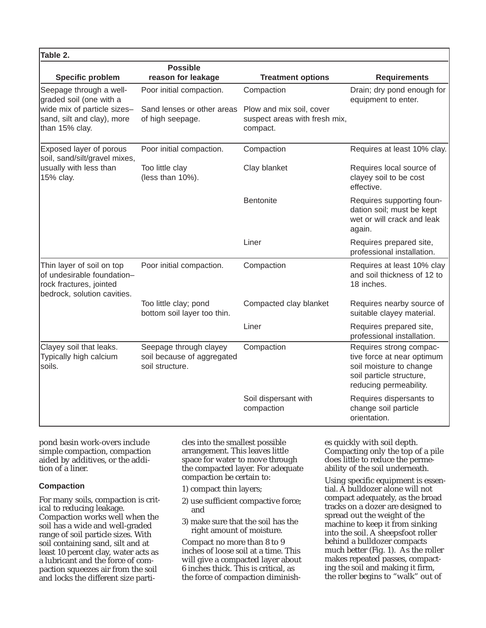| Table 2.                                                                                                          |                                                                         |                                                                       |                                                                                                                                        |
|-------------------------------------------------------------------------------------------------------------------|-------------------------------------------------------------------------|-----------------------------------------------------------------------|----------------------------------------------------------------------------------------------------------------------------------------|
| <b>Specific problem</b>                                                                                           | <b>Possible</b><br>reason for leakage                                   | <b>Treatment options</b>                                              | <b>Requirements</b>                                                                                                                    |
| Seepage through a well-<br>graded soil (one with a                                                                | Poor initial compaction.                                                | Compaction                                                            | Drain; dry pond enough for<br>equipment to enter.                                                                                      |
| wide mix of particle sizes-<br>sand, silt and clay), more<br>than 15% clay.                                       | Sand lenses or other areas<br>of high seepage.                          | Plow and mix soil, cover<br>suspect areas with fresh mix,<br>compact. |                                                                                                                                        |
| Exposed layer of porous<br>soil, sand/silt/gravel mixes,                                                          | Poor initial compaction.                                                | Compaction                                                            | Requires at least 10% clay.                                                                                                            |
| usually with less than<br>15% clay.                                                                               | Too little clay<br>(less than 10%).                                     | Clay blanket                                                          | Requires local source of<br>clayey soil to be cost<br>effective.                                                                       |
|                                                                                                                   |                                                                         | Bentonite                                                             | Requires supporting foun-<br>dation soil; must be kept<br>wet or will crack and leak<br>again.                                         |
|                                                                                                                   |                                                                         | Liner                                                                 | Requires prepared site,<br>professional installation.                                                                                  |
| Thin layer of soil on top<br>of undesirable foundation-<br>rock fractures, jointed<br>bedrock, solution cavities. | Poor initial compaction.                                                | Compaction                                                            | Requires at least 10% clay<br>and soil thickness of 12 to<br>18 inches.                                                                |
|                                                                                                                   | Too little clay; pond<br>bottom soil layer too thin.                    | Compacted clay blanket                                                | Requires nearby source of<br>suitable clayey material.                                                                                 |
|                                                                                                                   |                                                                         | Liner                                                                 | Requires prepared site,<br>professional installation.                                                                                  |
| Clayey soil that leaks.<br>Typically high calcium<br>soils.                                                       | Seepage through clayey<br>soil because of aggregated<br>soil structure. | Compaction                                                            | Requires strong compac-<br>tive force at near optimum<br>soil moisture to change<br>soil particle structure,<br>reducing permeability. |
|                                                                                                                   |                                                                         | Soil dispersant with<br>compaction                                    | Requires dispersants to<br>change soil particle<br>orientation.                                                                        |

pond basin work-overs include simple compaction, compaction aided by additives, or the addition of a liner.

#### **Compaction**

For many soils, compaction is critical to reducing leakage. Compaction works well when the soil has a wide and well-graded range of soil particle sizes. With soil containing sand, silt and at least 10 percent clay, water acts as a lubricant and the force of compaction squeezes air from the soil and locks the different size particles into the smallest possible arrangement. This leaves little space for water to move through the compacted layer. For adequate compaction be certain to:

- 1) compact thin layers;
- 2) use sufficient compactive force; and
- 3) make sure that the soil has the right amount of moisture.

Compact no more than 8 to 9 inches of loose soil at a time. This will give a compacted layer about 6 inches thick. This is critical, as the force of compaction diminishes quickly with soil depth. Compacting only the top of a pile does little to reduce the permeability of the soil underneath.

Using specific equipment is essential. A bulldozer alone will not compact adequately, as the broad tracks on a dozer are designed to spread out the weight of the machine to keep it from sinking into the soil. A sheepsfoot roller behind a bulldozer compacts much better (Fig. 1). As the roller makes repeated passes, compacting the soil and making it firm, the roller begins to "walk" out of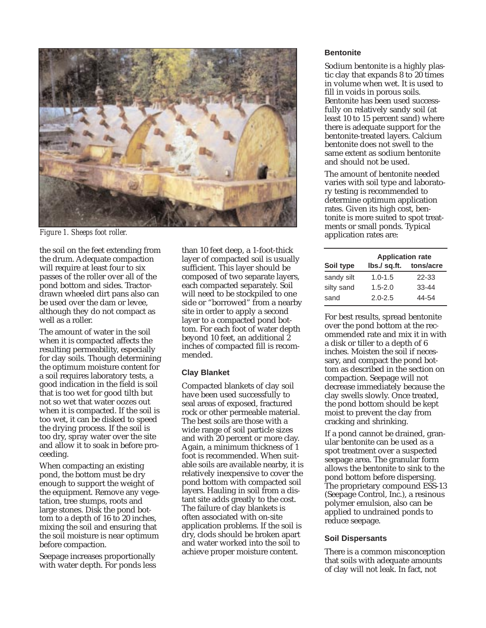

*Figure 1. Sheeps foot roller.*

the soil on the feet extending from the drum. Adequate compaction will require at least four to six passes of the roller over all of the pond bottom and sides. Tractordrawn wheeled dirt pans also can be used over the dam or levee, although they do not compact as well as a roller.

The amount of water in the soil when it is compacted affects the resulting permeability, especially for clay soils. Though determining the optimum moisture content for a soil requires laboratory tests, a good indication in the field is soil that is too wet for good tilth but not so wet that water oozes out when it is compacted. If the soil is too wet, it can be disked to speed the drying process. If the soil is too dry, spray water over the site and allow it to soak in before proceeding.

When compacting an existing pond, the bottom must be dry enough to support the weight of the equipment. Remove any vegetation, tree stumps, roots and large stones. Disk the pond bottom to a depth of 16 to 20 inches, mixing the soil and ensuring that the soil moisture is near optimum before compaction.

Seepage increases proportionally with water depth. For ponds less than 10 feet deep, a 1-foot-thick layer of compacted soil is usually sufficient. This layer should be composed of two separate layers, each compacted separately. Soil will need to be stockpiled to one side or "borrowed" from a nearby site in order to apply a second layer to a compacted pond bottom. For each foot of water depth beyond 10 feet, an additional 2 inches of compacted fill is recommended.

#### **Clay Blanket**

Compacted blankets of clay soil have been used successfully to seal areas of exposed, fractured rock or other permeable material. The best soils are those with a wide range of soil particle sizes and with 20 percent or more clay. Again, a minimum thickness of 1 foot is recommended. When suitable soils are available nearby, it is relatively inexpensive to cover the pond bottom with compacted soil layers. Hauling in soil from a distant site adds greatly to the cost. The failure of clay blankets is often associated with on-site application problems. If the soil is dry, clods should be broken apart and water worked into the soil to achieve proper moisture content.

#### **Bentonite**

Sodium bentonite is a highly plastic clay that expands 8 to 20 times in volume when wet. It is used to fill in voids in porous soils. Bentonite has been used successfully on relatively sandy soil (at least 10 to 15 percent sand) where there is adequate support for the bentonite-treated layers. Calcium bentonite does not swell to the same extent as sodium bentonite and should not be used.

The amount of bentonite needed varies with soil type and laboratory testing is recommended to determine optimum application rates. Given its high cost, bentonite is more suited to spot treatments or small ponds. Typical application rates are:

| <b>Application rate</b> |           |  |
|-------------------------|-----------|--|
| lbs./ sq.ft. tons/acre  |           |  |
| $1.0 - 1.5$             | 22-33     |  |
| $1.5 - 2.0$             | $33 - 44$ |  |
| $2.0 - 2.5$             | 44-54     |  |
|                         |           |  |

For best results, spread bentonite over the pond bottom at the recommended rate and mix it in with a disk or tiller to a depth of 6 inches. Moisten the soil if necessary, and compact the pond bottom as described in the section on compaction. Seepage will not decrease immediately because the clay swells slowly. Once treated, the pond bottom should be kept moist to prevent the clay from cracking and shrinking.

If a pond cannot be drained, granular bentonite can be used as a spot treatment over a suspected seepage area. The granular form allows the bentonite to sink to the pond bottom before dispersing. The proprietary compound ESS-13 (Seepage Control, Inc.), a resinous polymer emulsion, also can be applied to undrained ponds to reduce seepage.

#### **Soil Dispersants**

There is a common misconception that soils with adequate amounts of clay will not leak. In fact, not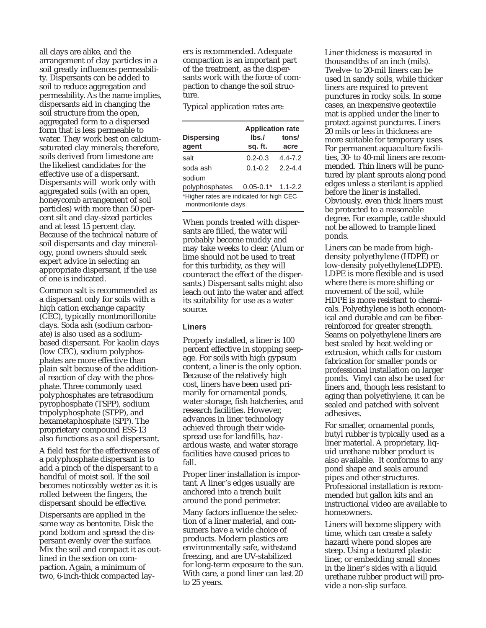all clays are alike, and the arrangement of clay particles in a soil greatly influences permeability. Dispersants can be added to soil to reduce aggregation and permeability. As the name implies, dispersants aid in changing the soil structure from the open, aggregated form to a dispersed form that is less permeable to water. They work best on calciumsaturated clay minerals; therefore, soils derived from limestone are the likeliest candidates for the effective use of a dispersant. Dispersants will work only with aggregated soils (with an open, honeycomb arrangement of soil particles) with more than 50 percent silt and clay-sized particles and at least 15 percent clay. Because of the technical nature of soil dispersants and clay mineralogy, pond owners should seek expert advice in selecting an appropriate dispersant, if the use of one is indicated.

Common salt is recommended as a dispersant only for soils with a high cation exchange capacity (CEC), typically montmorillonite clays. Soda ash (sodium carbonate) is also used as a sodiumbased dispersant. For kaolin clays (low CEC), sodium polyphosphates are more effective than plain salt because of the additional reaction of clay with the phosphate. Three commonly used polyphosphates are tetrasodium pyrophosphate (TSPP), sodium tripolyphosphate (STPP), and hexametaphosphate (SPP). The proprietary compound ESS-13 also functions as a soil dispersant.

A field test for the effectiveness of a polyphosphate dispersant is to add a pinch of the dispersant to a handful of moist soil. If the soil becomes noticeably wetter as it is rolled between the fingers, the dispersant should be effective.

Dispersants are applied in the same way as bentonite. Disk the pond bottom and spread the dispersant evenly over the surface. Mix the soil and compact it as outlined in the section on compaction. Again, a minimum of two, 6-inch-thick compacted layers is recommended. Adequate compaction is an important part of the treatment, as the dispersants work with the force of compaction to change the soil structure.

Typical application rates are:

| <b>Dispersing</b><br>agent                                         | <b>Application rate</b><br>lbs./<br>sq. ft. | tons/<br>acre |  |  |
|--------------------------------------------------------------------|---------------------------------------------|---------------|--|--|
| salt                                                               | $0.2 - 0.3$                                 | $4.4 - 7.2$   |  |  |
| soda ash                                                           | $0.1 - 0.2$                                 | 22-44         |  |  |
| sodium                                                             |                                             |               |  |  |
| polyphosphates                                                     | $0.05 - 0.1*$                               | $1.1 - 2.2$   |  |  |
| *Higher rates are indicated for high CEC<br>montmorillonite clays. |                                             |               |  |  |

When ponds treated with dispersants are filled, the water will probably become muddy and may take weeks to clear. (Alum or lime should not be used to treat for this turbidity, as they will counteract the effect of the dispersants.) Dispersant salts might also leach out into the water and affect its suitability for use as a water source.

#### **Liners**

Properly installed, a liner is 100 percent effective in stopping seepage. For soils with high gypsum content, a liner is the only option. Because of the relatively high cost, liners have been used primarily for ornamental ponds, water storage, fish hatcheries, and research facilities. However, advances in liner technology achieved through their widespread use for landfills, hazardous waste, and water storage facilities have caused prices to fall.

Proper liner installation is important. A liner's edges usually are anchored into a trench built around the pond perimeter.

Many factors influence the selection of a liner material, and consumers have a wide choice of products. Modern plastics are environmentally safe, withstand freezing, and are UV-stabilized for long-term exposure to the sun. With care, a pond liner can last 20 to 25 years.

Liner thickness is measured in thousandths of an inch (mils). Twelve- to 20-mil liners can be used in sandy soils, while thicker liners are required to prevent punctures in rocky soils. In some cases, an inexpensive geotextile mat is applied under the liner to protect against punctures. Liners 20 mils or less in thickness are more suitable for temporary uses. For permanent aquaculture facilities, 30- to 40-mil liners are recommended. Thin liners will be punctured by plant sprouts along pond edges unless a sterilant is applied before the liner is installed. Obviously, even thick liners must be protected to a reasonable degree. For example, cattle should not be allowed to trample lined ponds.

Liners can be made from highdensity polyethylene (HDPE) or low-density polyethylene(LDPE). LDPE is more flexible and is used where there is more shifting or movement of the soil, while HDPE is more resistant to chemicals. Polyethylene is both economical and durable and can be fiberreinforced for greater strength. Seams on polyethylene liners are best sealed by heat welding or extrusion, which calls for custom fabrication for smaller ponds or professional installation on larger ponds. Vinyl can also be used for liners and, though less resistant to aging than polyethylene, it can be sealed and patched with solvent adhesives.

For smaller, ornamental ponds, butyl rubber is typically used as a liner material. A proprietary, liquid urethane rubber product is also available. It conforms to any pond shape and seals around pipes and other structures. Professional installation is recommended but gallon kits and an instructional video are available to homeowners.

Liners will become slippery with time, which can create a safety hazard where pond slopes are steep. Using a textured plastic liner, or embedding small stones in the liner's sides with a liquid urethane rubber product will provide a non-slip surface.